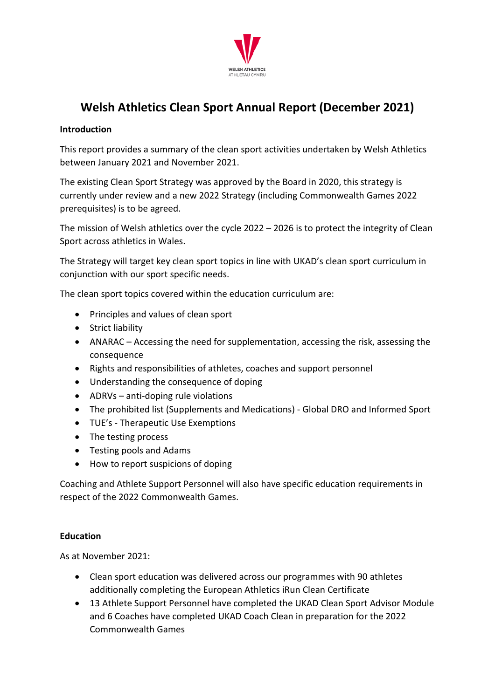

# **Welsh Athletics Clean Sport Annual Report (December 2021)**

#### **Introduction**

This report provides a summary of the clean sport activities undertaken by Welsh Athletics between January 2021 and November 2021.

The existing Clean Sport Strategy was approved by the Board in 2020, this strategy is currently under review and a new 2022 Strategy (including Commonwealth Games 2022 prerequisites) is to be agreed.

The mission of Welsh athletics over the cycle 2022 – 2026 is to protect the integrity of Clean Sport across athletics in Wales.

The Strategy will target key clean sport topics in line with UKAD's clean sport curriculum in conjunction with our sport specific needs.

The clean sport topics covered within the education curriculum are:

- Principles and values of clean sport
- Strict liability
- ANARAC Accessing the need for supplementation, accessing the risk, assessing the consequence
- Rights and responsibilities of athletes, coaches and support personnel
- Understanding the consequence of doping
- ADRVs anti-doping rule violations
- The prohibited list (Supplements and Medications) Global DRO and Informed Sport
- TUE's Therapeutic Use Exemptions
- The testing process
- Testing pools and Adams
- How to report suspicions of doping

Coaching and Athlete Support Personnel will also have specific education requirements in respect of the 2022 Commonwealth Games.

#### **Education**

As at November 2021:

- Clean sport education was delivered across our programmes with 90 athletes additionally completing the European Athletics iRun Clean Certificate
- 13 Athlete Support Personnel have completed the UKAD Clean Sport Advisor Module and 6 Coaches have completed UKAD Coach Clean in preparation for the 2022 Commonwealth Games